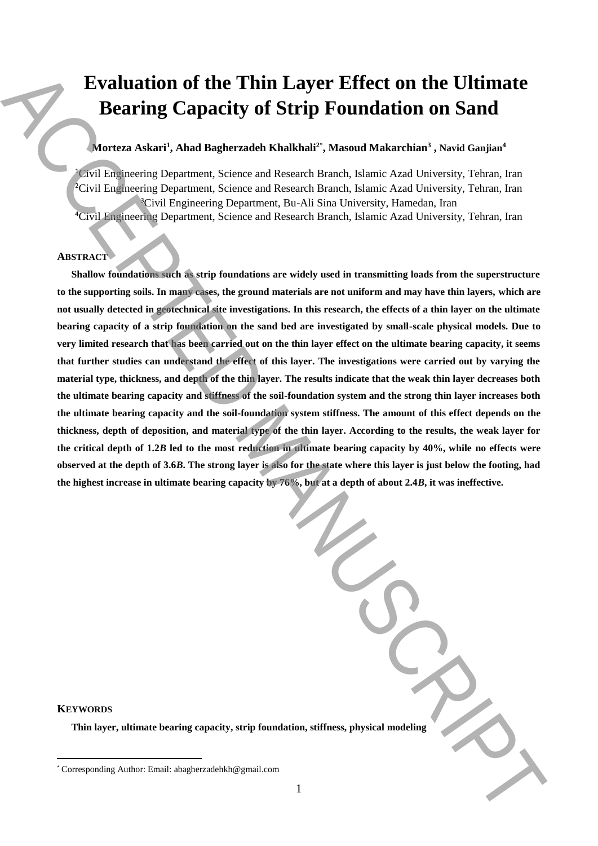# **Evaluation of the Thin Layer Effect on the Ultimate Bearing Capacity of Strip Foundation on Sand**

## **Morteza Askari<sup>1</sup> , Ahad Bagherzadeh Khalkhali<sup>2</sup>**\* **, Masoud Makarchian<sup>3</sup> , Navid Ganjian<sup>4</sup>**

Civil Engineering Department, Science and Research Branch, Islamic Azad University, Tehran, Iran Civil Engineering Department, Science and Research Branch, Islamic Azad University, Tehran, Iran Civil Engineering Department, Bu-Ali Sina University, Hamedan, Iran Civil Engineering Department, Science and Research Branch, Islamic Azad University, Tehran, Iran

## **ABSTRACT**

**Shallow foundations such as strip foundations are widely used in transmitting loads from the superstructure to the supporting soils. In many cases, the ground materials are not uniform and may have thin layers, which are not usually detected in geotechnical site investigations. In this research, the effects of a thin layer on the ultimate bearing capacity of a strip foundation on the sand bed are investigated by small-scale physical models. Due to very limited research that has been carried out on the thin layer effect on the ultimate bearing capacity, it seems that further studies can understand the effect of this layer. The investigations were carried out by varying the material type, thickness, and depth of the thin layer. The results indicate that the weak thin layer decreases both the ultimate bearing capacity and stiffness of the soil-foundation system and the strong thin layer increases both the ultimate bearing capacity and the soil-foundation system stiffness. The amount of this effect depends on the thickness, depth of deposition, and material type of the thin layer. According to the results, the weak layer for the critical depth of 1.2***B* **led to the most reduction in ultimate bearing capacity by 40%, while no effects were observed at the depth of 3.6***B***. The strong layer is also for the state where this layer is just below the footing, had the highest increase in ultimate bearing capacity by 76%, but at a depth of about 2.4***B***, it was ineffective.** Evaluation of the Thin Layer Effect on the Ultimate<br>
Bearing Capacity of Strip Foundation on Sand<br>
Solution Asian Manuscrossic and Renoval Economic Manuscrossic process of the corresponding and the corresponding to proper

| <b>KEYWORDS</b> |  |
|-----------------|--|
|-----------------|--|

 $\overline{a}$ 

**Thin layer, ultimate bearing capacity, strip foundation, stiffness, physical modeling**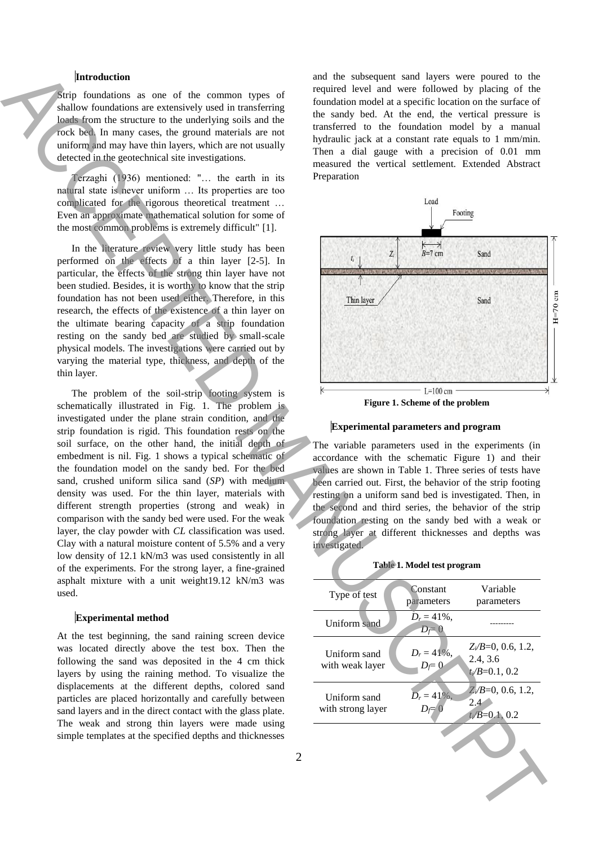### **Introduction**

#### **Experimental method**



**Figure 1. Scheme of the problem** 

## **Experimental parameters and program**

## **Table 1. Model test program**

| Introduction<br>Strip foundations as one of the common types of<br>shallow foundations are extensively used in transferring                                                                                                       | and the subsequent sand layers were poured to the<br>required level and were followed by placing of the<br>foundation model at a specific location on the surface of                                                                                                    |
|-----------------------------------------------------------------------------------------------------------------------------------------------------------------------------------------------------------------------------------|-------------------------------------------------------------------------------------------------------------------------------------------------------------------------------------------------------------------------------------------------------------------------|
| loads from the structure to the underlying soils and the<br>rock bed. In many cases, the ground materials are not<br>uniform and may have thin layers, which are not usually<br>detected in the geotechnical site investigations. | the sandy bed. At the end, the vertical pressure is<br>transferred to the foundation model by a manual<br>hydraulic jack at a constant rate equals to 1 mm/min.<br>Then a dial gauge with a precision of 0.01 mm<br>measured the vertical settlement. Extended Abstract |
| Terzaghi (1936) mentioned: " the earth in its<br>natural state is never uniform  Its properties are too                                                                                                                           | Preparation                                                                                                                                                                                                                                                             |
| complicated for the rigorous theoretical treatment                                                                                                                                                                                | Load                                                                                                                                                                                                                                                                    |
| Even an approximate mathematical solution for some of                                                                                                                                                                             | Footing                                                                                                                                                                                                                                                                 |
| the most common problems is extremely difficult" [1].                                                                                                                                                                             |                                                                                                                                                                                                                                                                         |
| In the literature review very little study has been                                                                                                                                                                               | $K \rightarrow B=7 \text{ cm}$<br>$Z_i$<br>Sand                                                                                                                                                                                                                         |
| performed on the effects of a thin layer [2-5]. In                                                                                                                                                                                | $t_i$                                                                                                                                                                                                                                                                   |
| particular, the effects of the strong thin layer have not                                                                                                                                                                         |                                                                                                                                                                                                                                                                         |
| been studied. Besides, it is worthy to know that the strip<br>foundation has not been used either. Therefore, in this                                                                                                             |                                                                                                                                                                                                                                                                         |
| research, the effects of the existence of a thin layer on                                                                                                                                                                         | Thin layer<br>Sand                                                                                                                                                                                                                                                      |
| the ultimate bearing capacity of a strip foundation                                                                                                                                                                               |                                                                                                                                                                                                                                                                         |
| resting on the sandy bed are studied by small-scale                                                                                                                                                                               |                                                                                                                                                                                                                                                                         |
| physical models. The investigations were carried out by                                                                                                                                                                           |                                                                                                                                                                                                                                                                         |
| varying the material type, thickness, and depth of the                                                                                                                                                                            |                                                                                                                                                                                                                                                                         |
| thin layer.                                                                                                                                                                                                                       |                                                                                                                                                                                                                                                                         |
| The problem of the soil-strip footing system is                                                                                                                                                                                   | $L=100$ cm                                                                                                                                                                                                                                                              |
| schematically illustrated in Fig. 1. The problem is                                                                                                                                                                               | Figure 1. Scheme of the problem                                                                                                                                                                                                                                         |
| investigated under the plane strain condition, and the<br>strip foundation is rigid. This foundation rests on the                                                                                                                 | <b>Experimental parameters and program</b>                                                                                                                                                                                                                              |
| soil surface, on the other hand, the initial depth of                                                                                                                                                                             | The variable parameters used in the experiments (in                                                                                                                                                                                                                     |
| embedment is nil. Fig. 1 shows a typical schematic of                                                                                                                                                                             |                                                                                                                                                                                                                                                                         |
|                                                                                                                                                                                                                                   |                                                                                                                                                                                                                                                                         |
| the foundation model on the sandy bed. For the bed                                                                                                                                                                                | accordance with the schematic Figure 1) and their<br>values are shown in Table 1. Three series of tests have                                                                                                                                                            |
| sand, crushed uniform silica sand (SP) with medium                                                                                                                                                                                | been carried out. First, the behavior of the strip footing                                                                                                                                                                                                              |
| density was used. For the thin layer, materials with                                                                                                                                                                              | resting on a uniform sand bed is investigated. Then, in                                                                                                                                                                                                                 |
| different strength properties (strong and weak) in                                                                                                                                                                                | the second and third series, the behavior of the strip                                                                                                                                                                                                                  |
| comparison with the sandy bed were used. For the weak                                                                                                                                                                             | foundation resting on the sandy bed with a weak or                                                                                                                                                                                                                      |
| layer, the clay powder with CL classification was used.<br>Clay with a natural moisture content of 5.5% and a very                                                                                                                | strong layer at different thicknesses and depths was                                                                                                                                                                                                                    |
| low density of 12.1 kN/m3 was used consistently in all                                                                                                                                                                            | investigated.                                                                                                                                                                                                                                                           |
| of the experiments. For the strong layer, a fine-grained                                                                                                                                                                          | Table 1. Model test program                                                                                                                                                                                                                                             |
| asphalt mixture with a unit weight19.12 kN/m3 was<br>used.                                                                                                                                                                        | Variable<br>Constant<br>Type of test<br>parameters<br>parameters                                                                                                                                                                                                        |
| <b>Experimental method</b>                                                                                                                                                                                                        | $D_r = 41\%$ ,                                                                                                                                                                                                                                                          |
|                                                                                                                                                                                                                                   | Uniform sand<br>$D_f = 0$                                                                                                                                                                                                                                               |
| At the test beginning, the sand raining screen device<br>was located directly above the test box. Then the                                                                                                                        | $Z_i/B=0, 0.6, 1.2,$<br>$D_r = 41\%,$<br>Uniform sand                                                                                                                                                                                                                   |
| following the sand was deposited in the 4 cm thick                                                                                                                                                                                | 2.4, 3.6<br>with weak layer<br>$D_f = 0$                                                                                                                                                                                                                                |
| layers by using the raining method. To visualize the                                                                                                                                                                              | $t_{\ell}/B=0.1, 0.2$                                                                                                                                                                                                                                                   |
| displacements at the different depths, colored sand<br>particles are placed horizontally and carefully between                                                                                                                    | $Z/B=0, 0.6, 1.2,$<br>$D_r = 41\%$ ,<br>Uniform sand                                                                                                                                                                                                                    |
| sand layers and in the direct contact with the glass plate.                                                                                                                                                                       | $2.4^{\circ}$<br>with strong layer<br>$D_f = 0$<br>$t_i/B = 0.1, 0.2$                                                                                                                                                                                                   |
| The weak and strong thin layers were made using                                                                                                                                                                                   |                                                                                                                                                                                                                                                                         |
| simple templates at the specified depths and thicknesses                                                                                                                                                                          |                                                                                                                                                                                                                                                                         |
|                                                                                                                                                                                                                                   | $\overline{2}$                                                                                                                                                                                                                                                          |
|                                                                                                                                                                                                                                   |                                                                                                                                                                                                                                                                         |
|                                                                                                                                                                                                                                   |                                                                                                                                                                                                                                                                         |